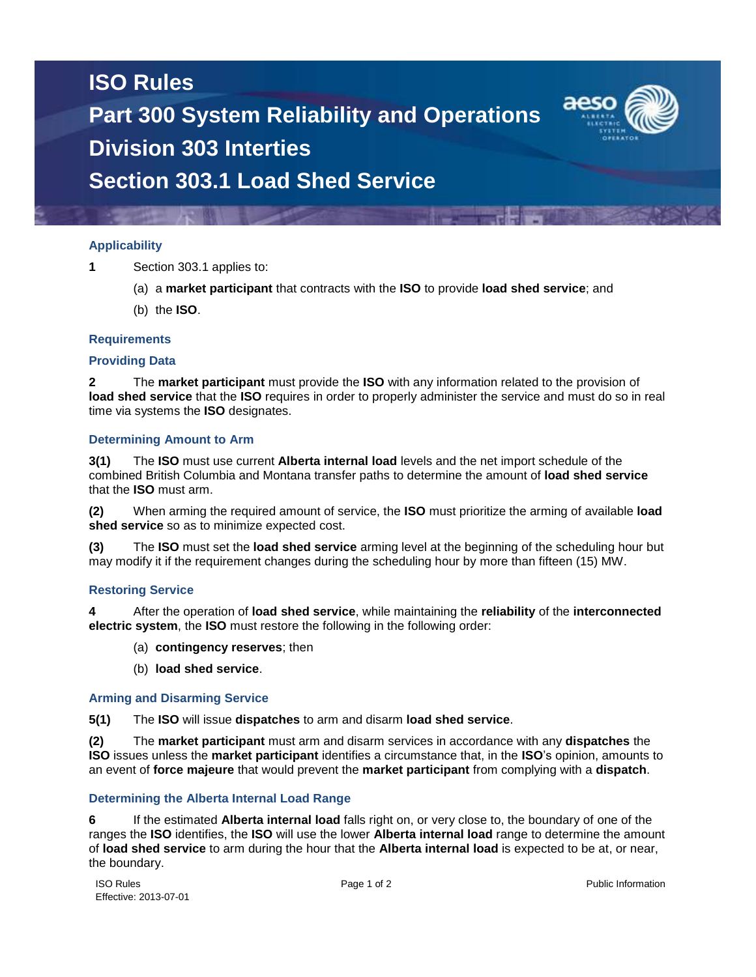# **ISO Rules Part 300 System Reliability and Operations Division 303 Interties Section 303.1 Load Shed Service**

## **Applicability**

- **1** Section 303.1 applies to:
	- (a) a **market participant** that contracts with the **ISO** to provide **load shed service**; and
	- (b) the **ISO**.

### **Requirements**

#### **Providing Data**

**2** The **market participant** must provide the **ISO** with any information related to the provision of **load shed service** that the **ISO** requires in order to properly administer the service and must do so in real time via systems the **ISO** designates.

#### **Determining Amount to Arm**

**3(1)** The **ISO** must use current **Alberta internal load** levels and the net import schedule of the combined British Columbia and Montana transfer paths to determine the amount of **load shed service** that the **ISO** must arm.

**(2)** When arming the required amount of service, the **ISO** must prioritize the arming of available **load shed service** so as to minimize expected cost.

**(3)** The **ISO** must set the **load shed service** arming level at the beginning of the scheduling hour but may modify it if the requirement changes during the scheduling hour by more than fifteen (15) MW.

#### **Restoring Service**

**4** After the operation of **load shed service**, while maintaining the **reliability** of the **interconnected electric system**, the **ISO** must restore the following in the following order:

- (a) **contingency reserves**; then
- (b) **load shed service**.

#### **Arming and Disarming Service**

**5(1)** The **ISO** will issue **dispatches** to arm and disarm **load shed service**.

**(2)** The **market participant** must arm and disarm services in accordance with any **dispatches** the **ISO** issues unless the **market participant** identifies a circumstance that, in the **ISO**'s opinion, amounts to an event of **force majeure** that would prevent the **market participant** from complying with a **dispatch**.

#### **Determining the Alberta Internal Load Range**

**6** If the estimated **Alberta internal load** falls right on, or very close to, the boundary of one of the ranges the **ISO** identifies, the **ISO** will use the lower **Alberta internal load** range to determine the amount of **load shed service** to arm during the hour that the **Alberta internal load** is expected to be at, or near, the boundary.